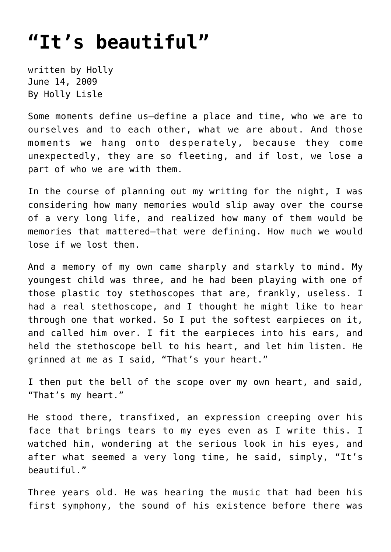## **["It's beautiful"](https://hollylisle.com/its-beautiful/)**

written by Holly June 14, 2009 [By Holly Lisle](https://hollylisle.com)

Some moments define us—define a place and time, who we are to ourselves and to each other, what we are about. And those moments we hang onto desperately, because they come unexpectedly, they are so fleeting, and if lost, we lose a part of who we are with them.

In the course of planning out my writing for the night, I was considering how many memories would slip away over the course of a very long life, and realized how many of them would be memories that mattered—that were defining. How much we would lose if we lost them.

And a memory of my own came sharply and starkly to mind. My youngest child was three, and he had been playing with one of those plastic toy stethoscopes that are, frankly, useless. I had a real stethoscope, and I thought he might like to hear through one that worked. So I put the softest earpieces on it, and called him over. I fit the earpieces into his ears, and held the stethoscope bell to his heart, and let him listen. He grinned at me as I said, "That's your heart."

I then put the bell of the scope over my own heart, and said, "That's my heart."

He stood there, transfixed, an expression creeping over his face that brings tears to my eyes even as I write this. I watched him, wondering at the serious look in his eyes, and after what seemed a very long time, he said, simply, "It's beautiful."

Three years old. He was hearing the music that had been his first symphony, the sound of his existence before there was